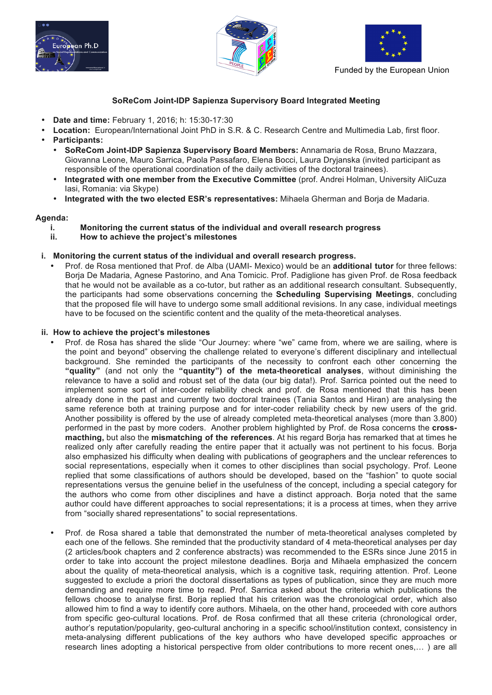





Funded by the European Union

## **SoReCom Joint-IDP Sapienza Supervisory Board Integrated Meeting**

- **Date and time:** February 1, 2016; h: 15:30-17:30
- **Location:** European/International Joint PhD in S.R. & C. Research Centre and Multimedia Lab, first floor. • **Participants:**
	- **SoReCom Joint-IDP Sapienza Supervisory Board Members:** Annamaria de Rosa, Bruno Mazzara, Giovanna Leone, Mauro Sarrica, Paola Passafaro, Elena Bocci, Laura Dryjanska (invited participant as responsible of the operational coordination of the daily activities of the doctoral trainees).
	- **Integrated with one member from the Executive Committee** (prof. Andrei Holman, University AliCuza Iasi, Romania: via Skype)
	- **Integrated with the two elected ESR's representatives:** Mihaela Gherman and Borja de Madaria.

## **Agenda:**

- **i. Monitoring the current status of the individual and overall research progress**
- **ii. How to achieve the project's milestones**

## **i. Monitoring the current status of the individual and overall research progress.**

• Prof. de Rosa mentioned that Prof. de Alba (UAMI- Mexico) would be an **additional tutor** for three fellows: Borja De Madaria, Agnese Pastorino, and Ana Tomicic. Prof. Padiglione has given Prof. de Rosa feedback that he would not be available as a co-tutor, but rather as an additional research consultant. Subsequently, the participants had some observations concerning the **Scheduling Supervising Meetings**, concluding that the proposed file will have to undergo some small additional revisions. In any case, individual meetings have to be focused on the scientific content and the quality of the meta-theoretical analyses.

## **ii. How to achieve the project's milestones**

- Prof. de Rosa has shared the slide "Our Journey: where "we" came from, where we are sailing, where is the point and beyond" observing the challenge related to everyone's different disciplinary and intellectual background. She reminded the participants of the necessity to confront each other concerning the **"quality"** (and not only the **"quantity") of the meta-theoretical analyses**, without diminishing the relevance to have a solid and robust set of the data (our big data!). Prof. Sarrica pointed out the need to implement some sort of inter-coder reliability check and prof. de Rosa mentioned that this has been already done in the past and currently two doctoral trainees (Tania Santos and Hiran) are analysing the same reference both at training purpose and for inter-coder reliability check by new users of the grid. Another possibility is offered by the use of already completed meta-theoretical analyses (more than 3.800) performed in the past by more coders. Another problem highlighted by Prof. de Rosa concerns the **crossmacthing,** but also the **mismatching of the references**. At his regard Borja has remarked that at times he realized only after carefully reading the entire paper that it actually was not pertinent to his focus. Borja also emphasized his difficulty when dealing with publications of geographers and the unclear references to social representations, especially when it comes to other disciplines than social psychology. Prof. Leone replied that some classifications of authors should be developed, based on the "fashion" to quote social representations versus the genuine belief in the usefulness of the concept, including a special category for the authors who come from other disciplines and have a distinct approach. Borja noted that the same author could have different approaches to social representations; it is a process at times, when they arrive from "socially shared representations" to social representations.
- Prof. de Rosa shared a table that demonstrated the number of meta-theoretical analyses completed by each one of the fellows. She reminded that the productivity standard of 4 meta-theoretical analyses per day (2 articles/book chapters and 2 conference abstracts) was recommended to the ESRs since June 2015 in order to take into account the project milestone deadlines. Borja and Mihaela emphasized the concern about the quality of meta-theoretical analysis, which is a cognitive task, requiring attention. Prof. Leone suggested to exclude a priori the doctoral dissertations as types of publication, since they are much more demanding and require more time to read. Prof. Sarrica asked about the criteria which publications the fellows choose to analyse first. Borja replied that his criterion was the chronological order, which also allowed him to find a way to identify core authors. Mihaela, on the other hand, proceeded with core authors from specific geo-cultural locations. Prof. de Rosa confirmed that all these criteria (chronological order, author's reputation/popularity, geo-cultural anchoring in a specific school/institution context, consistency in meta-analysing different publications of the key authors who have developed specific approaches or research lines adopting a historical perspective from older contributions to more recent ones,… ) are all